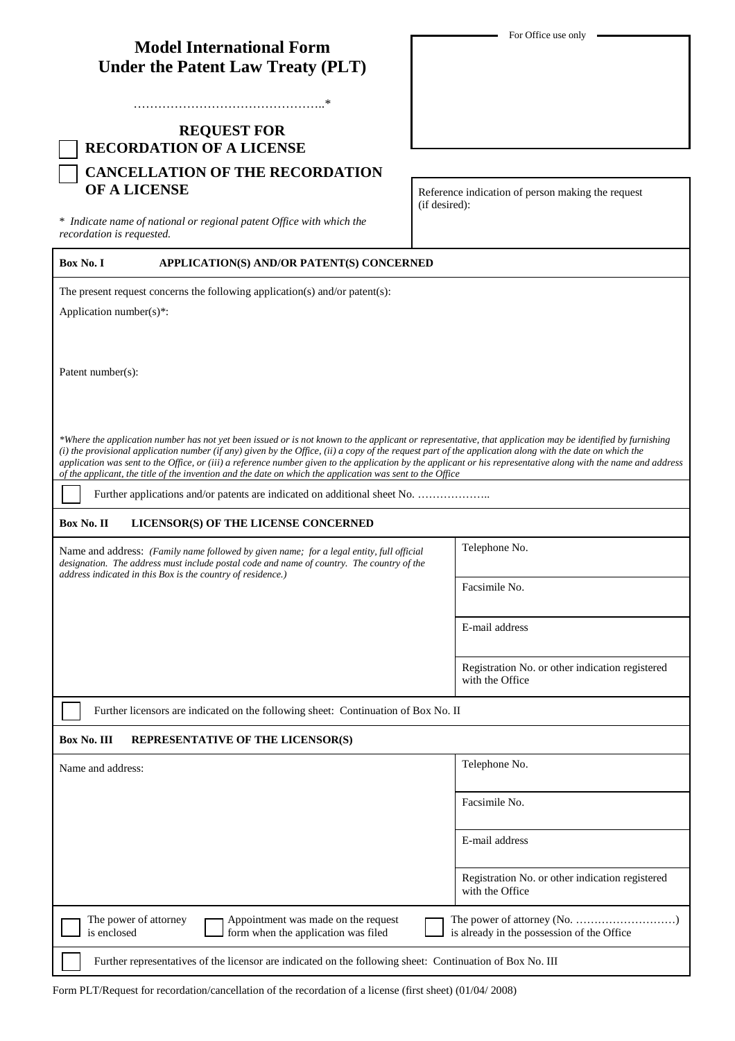| <b>Model International Form</b>          |  |
|------------------------------------------|--|
| <b>Under the Patent Law Treaty (PLT)</b> |  |

………………………………………..\*

## **REQUEST FOR RECORDATION OF A LICENSE CANCELLATION OF THE RECORDATION OF A LICENSE**

\* *Indicate name of national or regional patent Office with which the recordation is requested.*

Reference indication of person making the request (if desired):

## **Box No. I APPLICATION(S) AND/OR PATENT(S) CONCERNED**

The present request concerns the following application(s) and/or patent(s):

Application number(s)\*:

Patent number(s):

*\*Where the application number has not yet been issued or is not known to the applicant or representative, that application may be identified by furnishing (i) the provisional application number (if any) given by the Office, (ii) a copy of the request part of the application along with the date on which the application was sent to the Office, or (iii) a reference number given to the application by the applicant or his representative along with the name and address of the applicant, the title of the invention and the date on which the application was sent to the Office*

Further applications and/or patents are indicated on additional sheet No. …………………

## **Box No. II LICENSOR(S) OF THE LICENSE CONCERNED**

Name and address: *(Family name followed by given name; for a legal entity, full official designation. The address must include postal code and name of country. The country of the address indicated in this Box is the country of residence.)*

Telephone No.

Facsimile No.

E-mail address

Registration No. or other indication registered with the Office

Further licensors are indicated on the following sheet: Continuation of Box No. II

## **Box No. III. BEBBESENTATIVE OF THE LICENSOR(S)**

| <b>DUA 130. III</b><br><b>RET REDENTATIVE OF THE EIGENDORD!</b>                                                    |                                                                                                                                 |
|--------------------------------------------------------------------------------------------------------------------|---------------------------------------------------------------------------------------------------------------------------------|
| Name and address:                                                                                                  | Telephone No.                                                                                                                   |
|                                                                                                                    | Facsimile No.                                                                                                                   |
|                                                                                                                    | E-mail address                                                                                                                  |
|                                                                                                                    | Registration No. or other indication registered<br>with the Office                                                              |
| Appointment was made on the request<br>The power of attorney<br>form when the application was filed<br>is enclosed | The power of attorney (No. $\dots\dots\dots\dots\dots\dots\dots\dots\dots\dots$ )<br>is already in the possession of the Office |
| Further representatives of the licensor are indicated on the following sheet: Continuation of Box No. III          |                                                                                                                                 |

Form PLT/Request for recordation/cancellation of the recordation of a license (first sheet) (01/04/ 2008)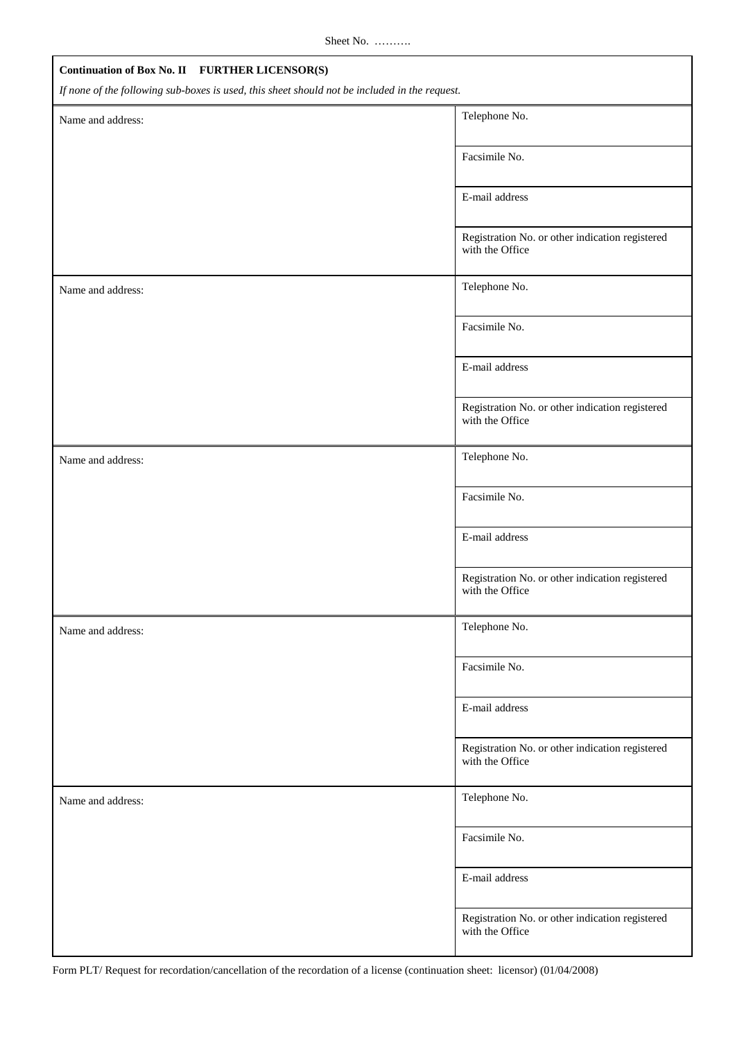| Continuation of Box No. II FURTHER LICENSOR(S)                                                |                                                                    |  |  |
|-----------------------------------------------------------------------------------------------|--------------------------------------------------------------------|--|--|
| If none of the following sub-boxes is used, this sheet should not be included in the request. |                                                                    |  |  |
| Name and address:                                                                             | Telephone No.                                                      |  |  |
|                                                                                               | Facsimile No.                                                      |  |  |
|                                                                                               | E-mail address                                                     |  |  |
|                                                                                               | Registration No. or other indication registered<br>with the Office |  |  |
| Name and address:                                                                             | Telephone No.                                                      |  |  |
|                                                                                               | Facsimile No.                                                      |  |  |
|                                                                                               | E-mail address                                                     |  |  |
|                                                                                               | Registration No. or other indication registered<br>with the Office |  |  |
| Name and address:                                                                             | Telephone No.                                                      |  |  |
|                                                                                               | Facsimile No.                                                      |  |  |
|                                                                                               | E-mail address                                                     |  |  |
|                                                                                               | Registration No. or other indication registered<br>with the Office |  |  |
| Name and address:                                                                             | Telephone No.                                                      |  |  |
|                                                                                               | Facsimile No.                                                      |  |  |
|                                                                                               | E-mail address                                                     |  |  |
|                                                                                               | Registration No. or other indication registered<br>with the Office |  |  |
| Name and address:                                                                             | Telephone No.                                                      |  |  |
|                                                                                               | Facsimile No.                                                      |  |  |
|                                                                                               | E-mail address                                                     |  |  |
|                                                                                               | Registration No. or other indication registered<br>with the Office |  |  |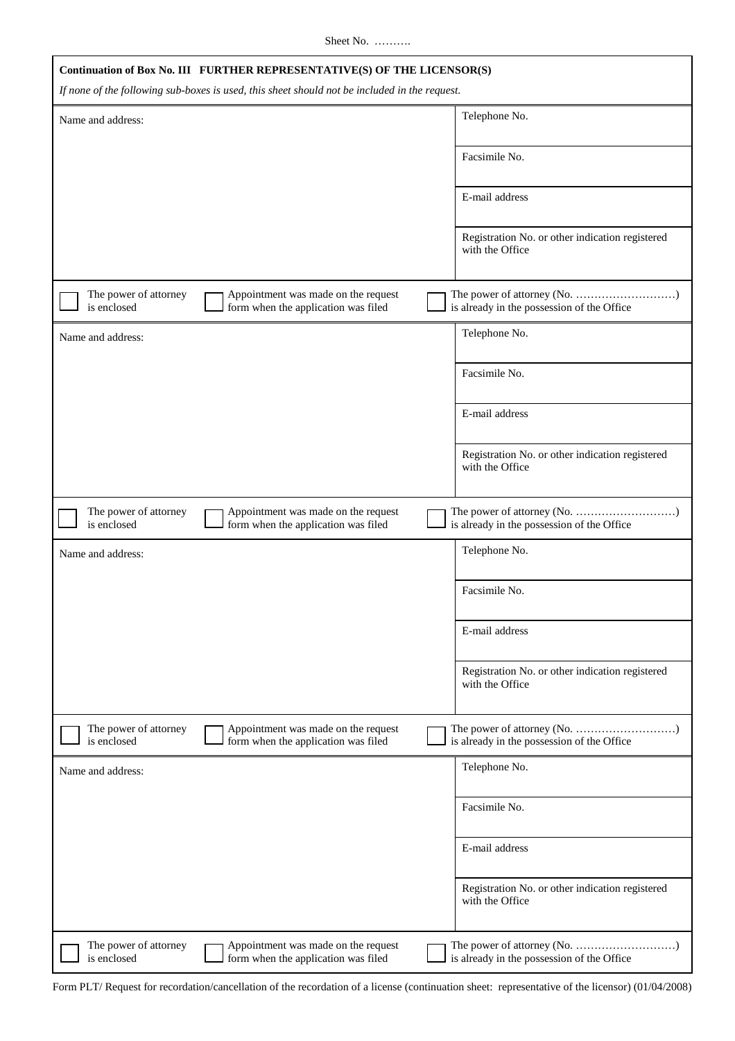Sheet No. ……….

|                                      | Continuation of Box No. III FURTHER REPRESENTATIVE(S) OF THE LICENSOR(S)<br>If none of the following sub-boxes is used, this sheet should not be included in the request. |                                                                    |
|--------------------------------------|---------------------------------------------------------------------------------------------------------------------------------------------------------------------------|--------------------------------------------------------------------|
| Name and address:                    |                                                                                                                                                                           | Telephone No.                                                      |
|                                      |                                                                                                                                                                           | Facsimile No.                                                      |
|                                      |                                                                                                                                                                           | E-mail address                                                     |
|                                      |                                                                                                                                                                           | Registration No. or other indication registered<br>with the Office |
| The power of attorney<br>is enclosed | Appointment was made on the request<br>form when the application was filed                                                                                                | is already in the possession of the Office                         |
| Name and address:                    |                                                                                                                                                                           | Telephone No.                                                      |
|                                      |                                                                                                                                                                           | Facsimile No.                                                      |
|                                      |                                                                                                                                                                           | E-mail address                                                     |
|                                      |                                                                                                                                                                           | Registration No. or other indication registered<br>with the Office |
| The power of attorney<br>is enclosed | Appointment was made on the request<br>form when the application was filed                                                                                                | is already in the possession of the Office                         |
| Name and address:                    |                                                                                                                                                                           | Telephone No.                                                      |
|                                      |                                                                                                                                                                           | Facsimile No.                                                      |
|                                      |                                                                                                                                                                           | E-mail address                                                     |
|                                      |                                                                                                                                                                           | Registration No. or other indication registered<br>with the Office |
| The power of attorney<br>is enclosed | Appointment was made on the request<br>form when the application was filed                                                                                                | is already in the possession of the Office                         |
| Name and address:                    |                                                                                                                                                                           | Telephone No.                                                      |
|                                      |                                                                                                                                                                           | Facsimile No.                                                      |
|                                      |                                                                                                                                                                           | E-mail address                                                     |
|                                      |                                                                                                                                                                           | Registration No. or other indication registered<br>with the Office |
| The power of attorney<br>is enclosed | Appointment was made on the request<br>form when the application was filed                                                                                                | is already in the possession of the Office                         |

Form PLT/ Request for recordation/cancellation of the recordation of a license (continuation sheet: representative of the licensor) (01/04/2008)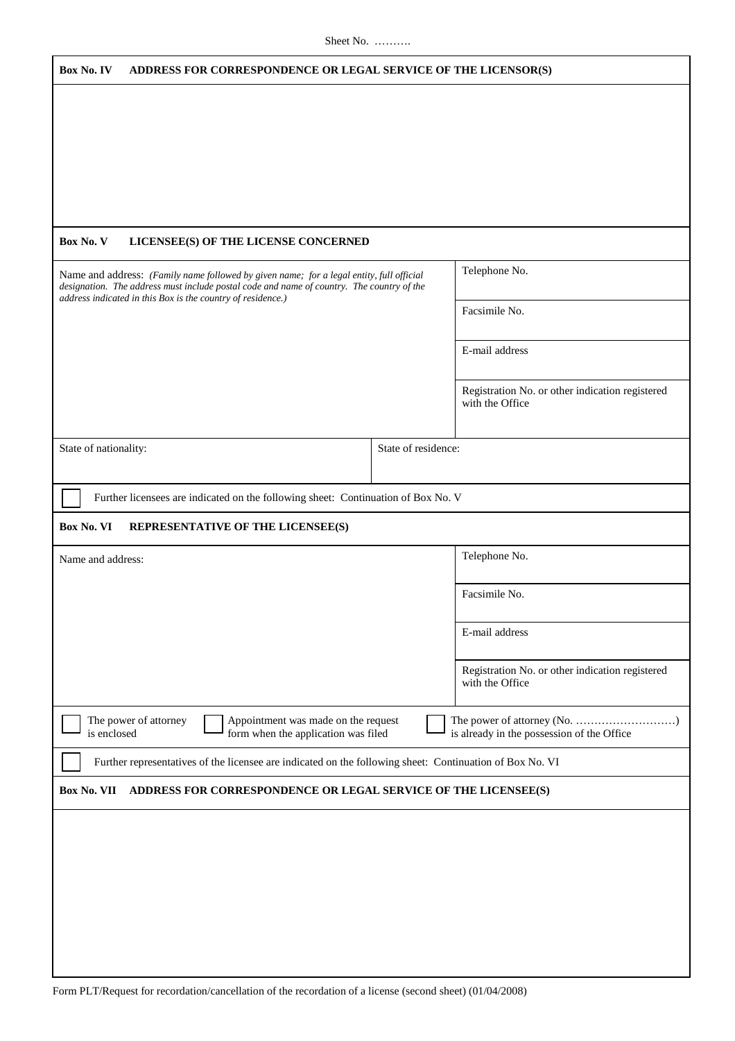| Box No. IV<br>ADDRESS FOR CORRESPONDENCE OR LEGAL SERVICE OF THE LICENSOR(S)                                                                             |                                                                    |
|----------------------------------------------------------------------------------------------------------------------------------------------------------|--------------------------------------------------------------------|
|                                                                                                                                                          |                                                                    |
|                                                                                                                                                          |                                                                    |
|                                                                                                                                                          |                                                                    |
|                                                                                                                                                          |                                                                    |
|                                                                                                                                                          |                                                                    |
|                                                                                                                                                          |                                                                    |
|                                                                                                                                                          |                                                                    |
| Box No. V<br>LICENSEE(S) OF THE LICENSE CONCERNED                                                                                                        |                                                                    |
| Name and address: (Family name followed by given name; for a legal entity, full official                                                                 | Telephone No.                                                      |
| designation. The address must include postal code and name of country. The country of the<br>address indicated in this Box is the country of residence.) |                                                                    |
|                                                                                                                                                          | Facsimile No.                                                      |
|                                                                                                                                                          |                                                                    |
|                                                                                                                                                          | E-mail address                                                     |
|                                                                                                                                                          |                                                                    |
|                                                                                                                                                          | Registration No. or other indication registered                    |
|                                                                                                                                                          | with the Office                                                    |
|                                                                                                                                                          |                                                                    |
| State of nationality:<br>State of residence:                                                                                                             |                                                                    |
|                                                                                                                                                          |                                                                    |
| Further licensees are indicated on the following sheet: Continuation of Box No. V                                                                        |                                                                    |
|                                                                                                                                                          |                                                                    |
| Box No. VI<br>REPRESENTATIVE OF THE LICENSEE(S)                                                                                                          |                                                                    |
| Name and address:                                                                                                                                        | Telephone No.                                                      |
|                                                                                                                                                          |                                                                    |
|                                                                                                                                                          | Facsimile No.                                                      |
|                                                                                                                                                          |                                                                    |
|                                                                                                                                                          | E-mail address                                                     |
|                                                                                                                                                          |                                                                    |
|                                                                                                                                                          | Registration No. or other indication registered<br>with the Office |
|                                                                                                                                                          |                                                                    |
| The power of attorney<br>Appointment was made on the request<br>is enclosed<br>form when the application was filed                                       | is already in the possession of the Office                         |
| Further representatives of the licensee are indicated on the following sheet: Continuation of Box No. VI                                                 |                                                                    |
| Box No. VII<br>ADDRESS FOR CORRESPONDENCE OR LEGAL SERVICE OF THE LICENSEE(S)                                                                            |                                                                    |
|                                                                                                                                                          |                                                                    |
|                                                                                                                                                          |                                                                    |
|                                                                                                                                                          |                                                                    |
|                                                                                                                                                          |                                                                    |
|                                                                                                                                                          |                                                                    |
|                                                                                                                                                          |                                                                    |
|                                                                                                                                                          |                                                                    |
|                                                                                                                                                          |                                                                    |
|                                                                                                                                                          |                                                                    |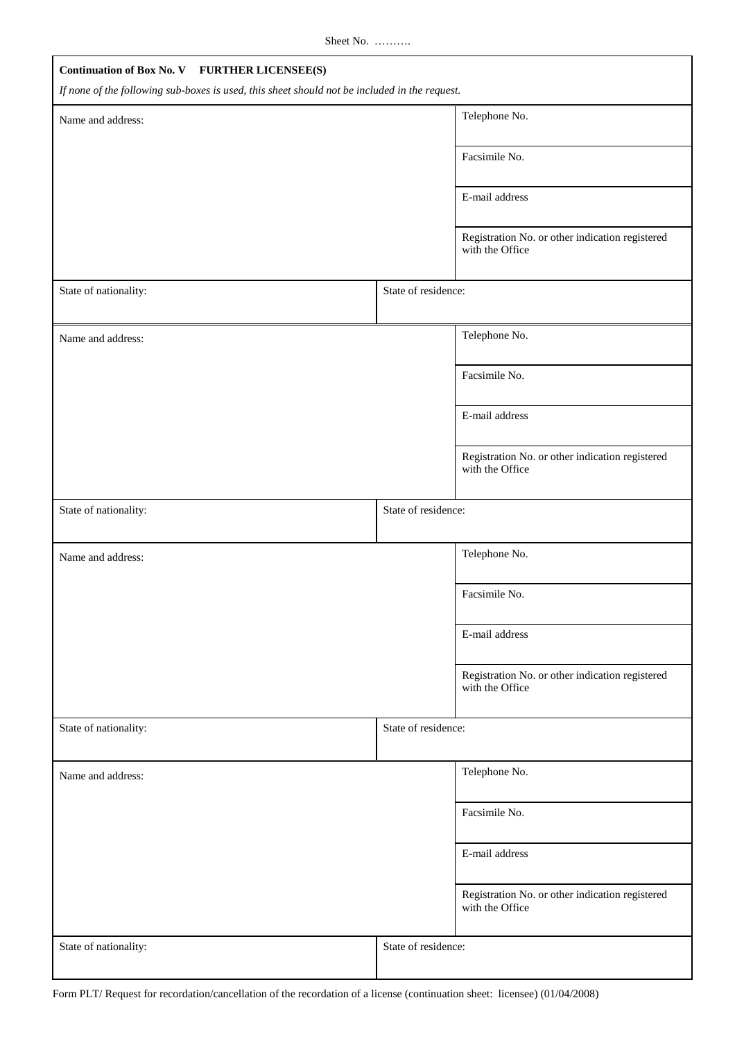Sheet No. ……….

| Continuation of Box No. V FURTHER LICENSEE(S)                                                 |                                                                    |  |  |  |
|-----------------------------------------------------------------------------------------------|--------------------------------------------------------------------|--|--|--|
| If none of the following sub-boxes is used, this sheet should not be included in the request. |                                                                    |  |  |  |
| Name and address:                                                                             | Telephone No.                                                      |  |  |  |
|                                                                                               | Facsimile No.                                                      |  |  |  |
|                                                                                               | E-mail address                                                     |  |  |  |
|                                                                                               | Registration No. or other indication registered<br>with the Office |  |  |  |
| State of nationality:                                                                         | State of residence:                                                |  |  |  |
| Name and address:                                                                             | Telephone No.                                                      |  |  |  |
|                                                                                               | Facsimile No.                                                      |  |  |  |
|                                                                                               | E-mail address                                                     |  |  |  |
|                                                                                               | Registration No. or other indication registered<br>with the Office |  |  |  |
| State of nationality:                                                                         | State of residence:                                                |  |  |  |
| Name and address:                                                                             | Telephone No.                                                      |  |  |  |
|                                                                                               | Facsimile No.                                                      |  |  |  |
|                                                                                               | E-mail address                                                     |  |  |  |
|                                                                                               | Registration No. or other indication registered<br>with the Office |  |  |  |
| State of nationality:                                                                         | State of residence:                                                |  |  |  |
| Name and address:                                                                             | Telephone No.                                                      |  |  |  |
|                                                                                               | Facsimile No.                                                      |  |  |  |
|                                                                                               | E-mail address                                                     |  |  |  |
|                                                                                               | Registration No. or other indication registered<br>with the Office |  |  |  |
| State of nationality:                                                                         | State of residence:                                                |  |  |  |

Form PLT/ Request for recordation/cancellation of the recordation of a license (continuation sheet: licensee) (01/04/2008)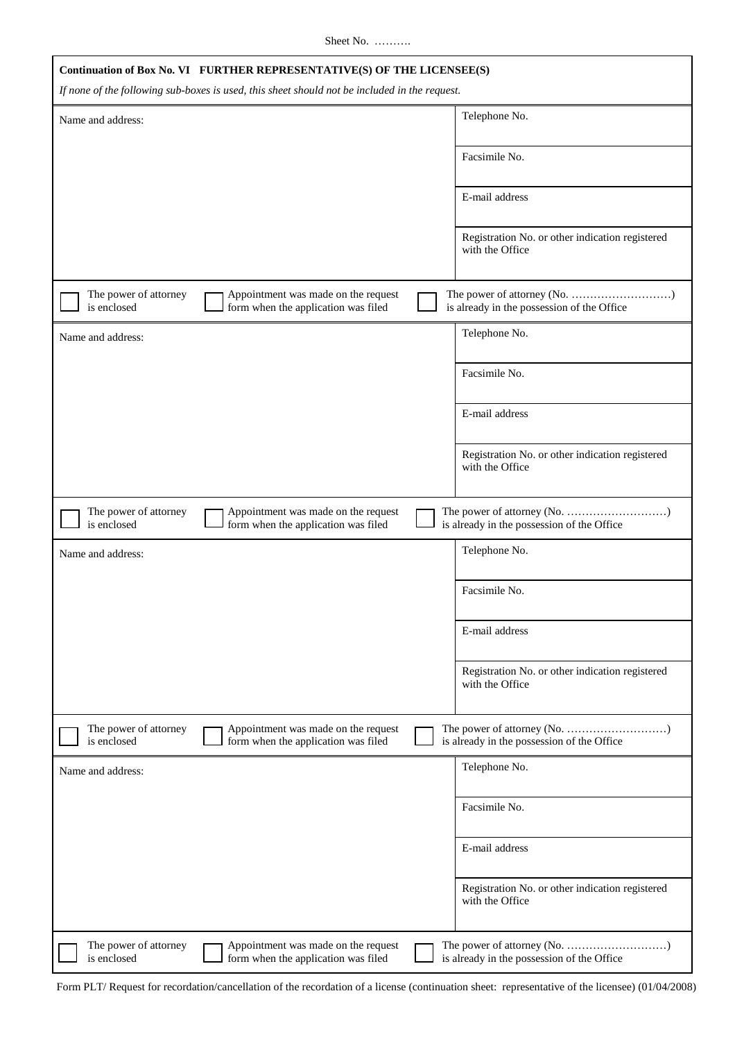Sheet No. ……….

| Continuation of Box No. VI FURTHER REPRESENTATIVE(S) OF THE LICENSEE(S)<br>If none of the following sub-boxes is used, this sheet should not be included in the request. |                                                                            |  |                                                                    |
|--------------------------------------------------------------------------------------------------------------------------------------------------------------------------|----------------------------------------------------------------------------|--|--------------------------------------------------------------------|
| Name and address:                                                                                                                                                        |                                                                            |  | Telephone No.                                                      |
|                                                                                                                                                                          |                                                                            |  | Facsimile No.                                                      |
|                                                                                                                                                                          |                                                                            |  | E-mail address                                                     |
|                                                                                                                                                                          |                                                                            |  | Registration No. or other indication registered<br>with the Office |
| The power of attorney<br>is enclosed                                                                                                                                     | Appointment was made on the request<br>form when the application was filed |  | is already in the possession of the Office                         |
| Name and address:                                                                                                                                                        |                                                                            |  | Telephone No.                                                      |
|                                                                                                                                                                          |                                                                            |  | Facsimile No.                                                      |
|                                                                                                                                                                          |                                                                            |  | E-mail address                                                     |
|                                                                                                                                                                          |                                                                            |  | Registration No. or other indication registered<br>with the Office |
| The power of attorney<br>is enclosed                                                                                                                                     | Appointment was made on the request<br>form when the application was filed |  | is already in the possession of the Office                         |
| Name and address:                                                                                                                                                        |                                                                            |  | Telephone No.                                                      |
|                                                                                                                                                                          |                                                                            |  | Facsimile No.                                                      |
|                                                                                                                                                                          |                                                                            |  | E-mail address                                                     |
|                                                                                                                                                                          |                                                                            |  | Registration No. or other indication registered<br>with the Office |
| The power of attorney<br>is enclosed                                                                                                                                     | Appointment was made on the request<br>form when the application was filed |  | is already in the possession of the Office                         |
| Name and address:                                                                                                                                                        |                                                                            |  | Telephone No.                                                      |
|                                                                                                                                                                          |                                                                            |  | Facsimile No.                                                      |
|                                                                                                                                                                          |                                                                            |  | E-mail address                                                     |
|                                                                                                                                                                          |                                                                            |  | Registration No. or other indication registered<br>with the Office |
| The power of attorney<br>is enclosed                                                                                                                                     | Appointment was made on the request<br>form when the application was filed |  | is already in the possession of the Office                         |

Form PLT/ Request for recordation/cancellation of the recordation of a license (continuation sheet: representative of the licensee) (01/04/2008)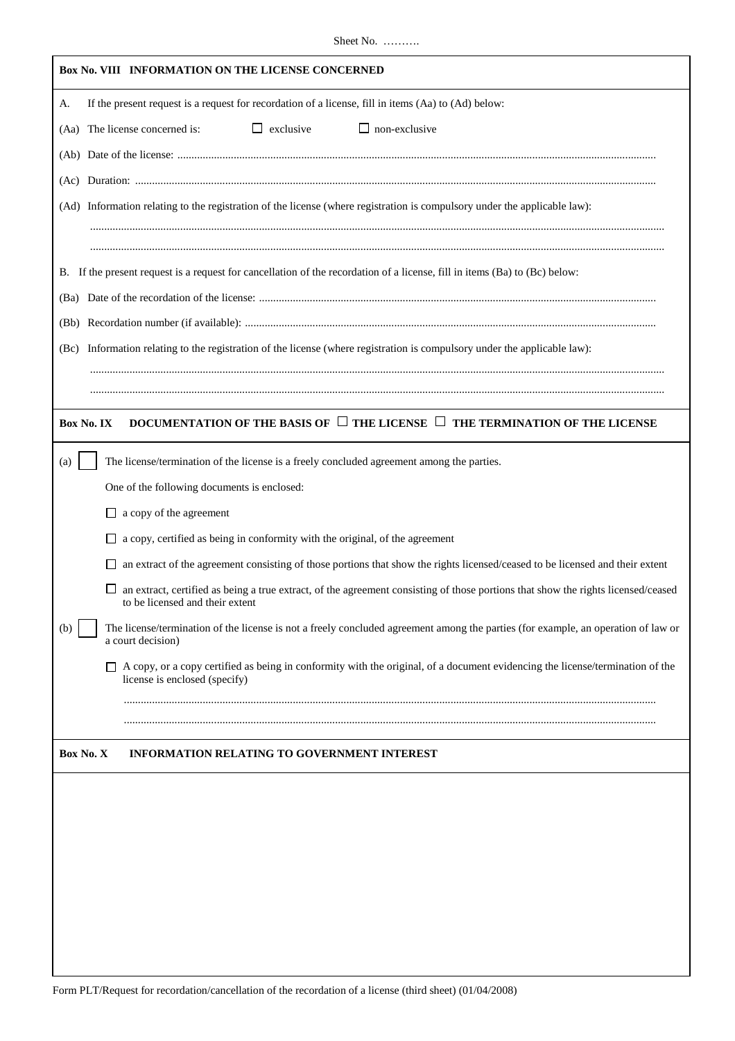| Box No. VIII INFORMATION ON THE LICENSE CONCERNED                                                                                                              |
|----------------------------------------------------------------------------------------------------------------------------------------------------------------|
| If the present request is a request for recordation of a license, fill in items (Aa) to (Ad) below:<br>А.                                                      |
| $\Box$ exclusive<br>$\Box$ non-exclusive<br>(Aa) The license concerned is:                                                                                     |
|                                                                                                                                                                |
|                                                                                                                                                                |
| (Ad) Information relating to the registration of the license (where registration is compulsory under the applicable law):                                      |
|                                                                                                                                                                |
|                                                                                                                                                                |
| B. If the present request is a request for cancellation of the recordation of a license, fill in items (Ba) to (Bc) below:                                     |
|                                                                                                                                                                |
|                                                                                                                                                                |
| Information relating to the registration of the license (where registration is compulsory under the applicable law):<br>(Be)                                   |
|                                                                                                                                                                |
|                                                                                                                                                                |
| DOCUMENTATION OF THE BASIS OF $\Box$ THE LICENSE $\Box$ THE TERMINATION OF THE LICENSE<br>Box No. IX                                                           |
| The license/termination of the license is a freely concluded agreement among the parties.<br>(a)                                                               |
| One of the following documents is enclosed:                                                                                                                    |
| a copy of the agreement<br>ப                                                                                                                                   |
| a copy, certified as being in conformity with the original, of the agreement                                                                                   |
| an extract of the agreement consisting of those portions that show the rights licensed/ceased to be licensed and their extent                                  |
| an extract, certified as being a true extract, of the agreement consisting of those portions that show the rights licensed/ceased                              |
| to be licensed and their extent                                                                                                                                |
| The license/termination of the license is not a freely concluded agreement among the parties (for example, an operation of law or<br>(b)<br>a court decision)  |
| A copy, or a copy certified as being in conformity with the original, of a document evidencing the license/termination of the<br>license is enclosed (specify) |
|                                                                                                                                                                |
|                                                                                                                                                                |
| Box No. X<br><b>INFORMATION RELATING TO GOVERNMENT INTEREST</b>                                                                                                |
|                                                                                                                                                                |
|                                                                                                                                                                |
|                                                                                                                                                                |
|                                                                                                                                                                |
|                                                                                                                                                                |
|                                                                                                                                                                |
|                                                                                                                                                                |
|                                                                                                                                                                |
|                                                                                                                                                                |